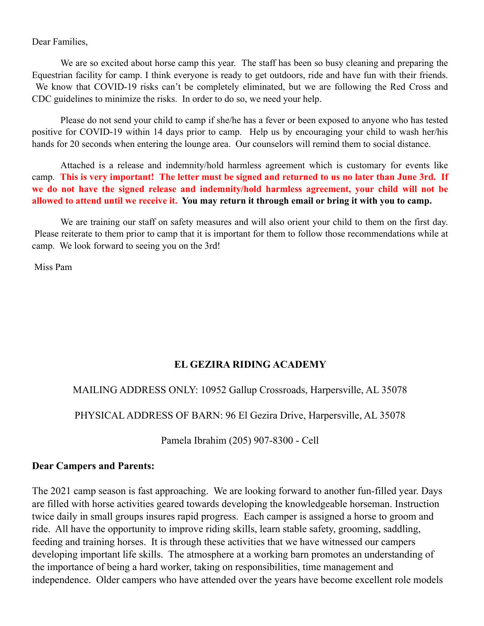Dear Families,

We are so excited about horse camp this year. The staff has been so busy cleaning and preparing the Equestrian facility for camp. I think everyone is ready to get outdoors, ride and have fun with their friends. We know that COVID-19 risks can't be completely eliminated, but we are following the Red Cross and CDC guidelines to minimize the risks. In order to do so, we need your help.

Please do not send your child to camp if she/he has a fever or been exposed to anyone who has tested positive for COVID-19 within 14 days prior to camp. Help us by encouraging your child to wash her/his hands for 20 seconds when entering the lounge area. Our counselors will remind them to social distance.

Attached is a release and indemnity/hold harmless agreement which is customary for events like camp. **This is very important! The letter must be signed and returned to us no later than June 3rd. If we do not have the signed release and indemnity/hold harmless agreement, your child will not be allowed to attend until we receive it. You may return it through email or bring it with you to camp.**

We are training our staff on safety measures and will also orient your child to them on the first day. Please reiterate to them prior to camp that it is important for them to follow those recommendations while at camp. We look forward to seeing you on the 3rd!

Miss Pam

# **EL GEZIRA RIDING ACADEMY**

### MAILING ADDRESS ONLY: 10952 Gallup Crossroads, Harpersville, AL 35078

PHYSICAL ADDRESS OF BARN: 96 El Gezira Drive, Harpersville, AL 35078

Pamela Ibrahim (205) 907-8300 - Cell

### **Dear Campers and Parents:**

The 2021 camp season is fast approaching. We are looking forward to another fun-filled year. Days are filled with horse activities geared towards developing the knowledgeable horseman. Instruction twice daily in small groups insures rapid progress. Each camper is assigned a horse to groom and ride. All have the opportunity to improve riding skills, learn stable safety, grooming, saddling, feeding and training horses. It is through these activities that we have witnessed our campers developing important life skills. The atmosphere at a working barn promotes an understanding of the importance of being a hard worker, taking on responsibilities, time management and independence. Older campers who have attended over the years have become excellent role models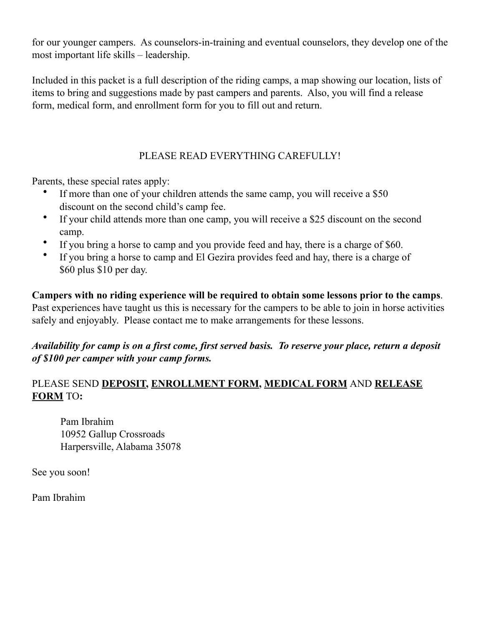for our younger campers. As counselors-in-training and eventual counselors, they develop one of the most important life skills – leadership.

Included in this packet is a full description of the riding camps, a map showing our location, lists of items to bring and suggestions made by past campers and parents. Also, you will find a release form, medical form, and enrollment form for you to fill out and return.

# PLEASE READ EVERYTHING CAREFULLY!

Parents, these special rates apply:

- If more than one of your children attends the same camp, you will receive a \$50 discount on the second child's camp fee.
- If your child attends more than one camp, you will receive a \$25 discount on the second camp.
- If you bring a horse to camp and you provide feed and hay, there is a charge of \$60.
- If you bring a horse to camp and El Gezira provides feed and hay, there is a charge of \$60 plus \$10 per day.

**Campers with no riding experience will be required to obtain some lessons prior to the camps**. Past experiences have taught us this is necessary for the campers to be able to join in horse activities safely and enjoyably. Please contact me to make arrangements for these lessons.

## *Availability for camp is on a first come, first served basis. To reserve your place, return a deposit of \$100 per camper with your camp forms.*

# PLEASE SEND **DEPOSIT, ENROLLMENT FORM, MEDICAL FORM** AND **RELEASE FORM** TO**:**

 Pam Ibrahim 10952 Gallup Crossroads Harpersville, Alabama 35078

See you soon!

Pam Ibrahim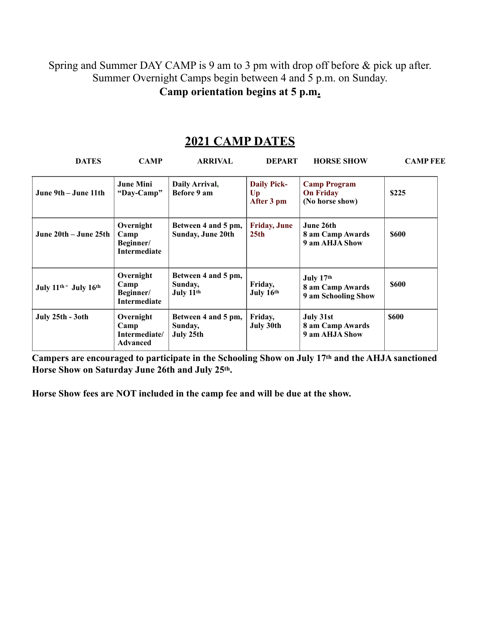Spring and Summer DAY CAMP is 9 am to 3 pm with drop off before & pick up after. Summer Overnight Camps begin between 4 and 5 p.m. on Sunday.

**Camp orientation begins at 5 p.m.**

# **2021 CAMP DATES**

| <b>DATES</b>                                  | <b>CAMP</b>                                           | <b>ARRIVAL</b>                                          | <b>DEPART</b>                                      | <b>HORSE SHOW</b>                                          | <b>CAMP FEE</b> |
|-----------------------------------------------|-------------------------------------------------------|---------------------------------------------------------|----------------------------------------------------|------------------------------------------------------------|-----------------|
| June 9th – June 11th                          | <b>June Mini</b><br>"Day-Camp"                        | Daily Arrival,<br>Before 9 am                           | <b>Daily Pick-</b><br>U <sub>p</sub><br>After 3 pm | <b>Camp Program</b><br><b>On Friday</b><br>(No horse show) | \$225           |
| June 20th – June 25th                         | Overnight<br>Camp<br>Beginner/<br><b>Intermediate</b> | Between 4 and 5 pm,<br><b>Sunday, June 20th</b>         | <b>Friday, June</b><br>25 <sub>th</sub>            | June 26th<br>8 am Camp Awards<br>9 am AHJA Show            | <b>\$600</b>    |
| July 11 <sup>th -</sup> July 16 <sup>th</sup> | Overnight<br>Camp<br>Beginner/<br>Intermediate        | Between 4 and 5 pm,<br>Sunday,<br>July 11 <sup>th</sup> | Friday,<br>July 16th                               | July 17th<br>8 am Camp Awards<br>9 am Schooling Show       | \$600           |
| July 25th - 3oth                              | Overnight<br>Camp<br>Intermediate/<br><b>Advanced</b> | Between 4 and 5 pm,<br>Sunday,<br>July 25th             | Friday,<br>July 30th                               | July 31st<br>8 am Camp Awards<br>9 am AHJA Show            | <b>\$600</b>    |

**Campers are encouraged to participate in the Schooling Show on July 17th and the AHJA sanctioned Horse Show on Saturday June 26th and July 25th.** 

**Horse Show fees are NOT included in the camp fee and will be due at the show.**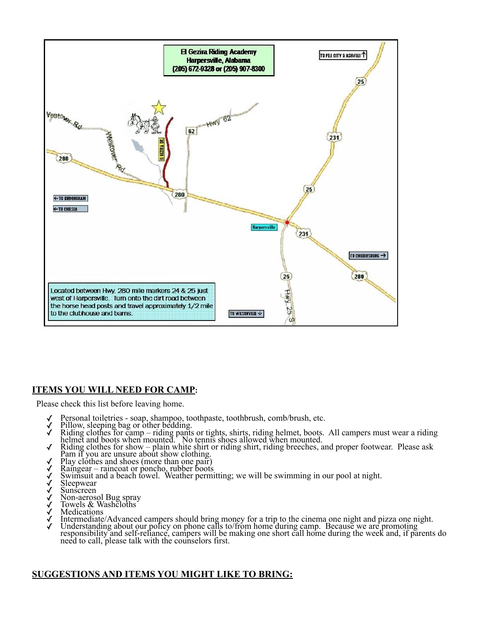

#### **ITEMS YOU WILL NEED FOR CAMP:**

Please check this list before leaving home.

- 
- 
- Gersonal toiletries soap, shampoo, toothpaste, toothbrush, comb/brush, etc.<br>Gersonal toiletries bag or other bedding.<br>Gersonalist, shirts, riding helmet, boots. All campers must wear a riding Reling points. helmet and boots when mounted. No tennis shoes allowed when mounted.
- ✓ Riding clothes for show plain white shirt or riding shirt, riding breeches, and proper footwear. Please ask Pam if you are unsure about show clothing.<br>
→ Play clothes and shoes (more than one pair)<br>
→ Raingear – raincoat or poncho, rubber boots<br>
→ Swimsuit and a beach towel. Weather permitting; we will be swimming in our pool
- 
- 
- 
- 
- 
- ✓ Non-aerosol Bug spray ✓ Towels & Washcloths
- 
- **Medications**
- 
- Intermediate/Advanced campers should bring money for a trip to the cinema one night and pizza one night.<br>Understanding about our policy on phone calls to/from home during camp. Because we are promoting responsibility and self-reliance, campers will be making one short call home during the week and, if parents do need to call, please talk with the counselors first.

#### **SUGGESTIONS AND ITEMS YOU MIGHT LIKE TO BRING:**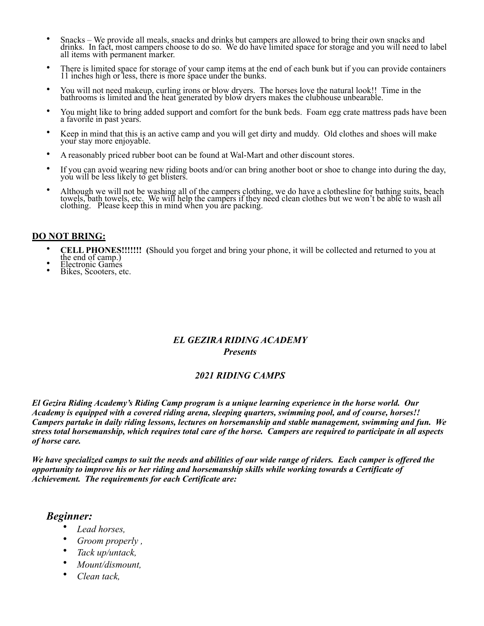- Snacks We provide all meals, snacks and drinks but campers are allowed to bring their own snacks and drinks. In fact, most campers choose to do so. We do have limited space for storage and you will need to label all items with permanent marker.
- There is limited space for storage of your camp items at the end of each bunk but if you can provide containers 11 inches high or less, there is more space under the bunks.
- You will not need makeup, curling irons or blow dryers. The horses love the natural look!! Time in the bathrooms is limited and the heat generated by blow dryers makes the clubhouse unbearable.
- You might like to bring added support and comfort for the bunk beds. Foam egg crate mattress pads have been a favorite in past years.
- Keep in mind that this is an active camp and you will get dirty and muddy. Old clothes and shoes will make your stay more enjoyable.
- A reasonably priced rubber boot can be found at Wal-Mart and other discount stores.
- If you can avoid wearing new riding boots and/or can bring another boot or shoe to change into during the day, you will be less likely to get blisters.
- Although we will not be washing all of the campers clothing, we do have a clothesline for bathing suits, beach towels, bath towels, etc. We will help the campers if they need clean clothes but we won't be able to wash all clothing. Please keep this in mind when you are packing.

#### **DO NOT BRING:**

- **CELL PHONES!!!!!!!** (Should you forget and bring your phone, it will be collected and returned to you at the end of camp.)<br>• Electronic Games Bikes, Scooters, etc.
- 
- 

#### *EL GEZIRA RIDING ACADEMY Presents*

#### *2021 RIDING CAMPS*

*El Gezira Riding Academy's Riding Camp program is a unique learning experience in the horse world. Our Academy is equipped with a covered riding arena, sleeping quarters, swimming pool, and of course, horses!! Campers partake in daily riding lessons, lectures on horsemanship and stable management, swimming and fun. We stress total horsemanship, which requires total care of the horse. Campers are required to participate in all aspects of horse care.* 

*We have specialized camps to suit the needs and abilities of our wide range of riders. Each camper is offered the opportunity to improve his or her riding and horsemanship skills while working towards a Certificate of Achievement. The requirements for each Certificate are:* 

#### *Beginner:*

- *Lead horses,*
- *Groom properly ,*
- *Tack up/untack,*
- *Mount/dismount,*
- *Clean tack,*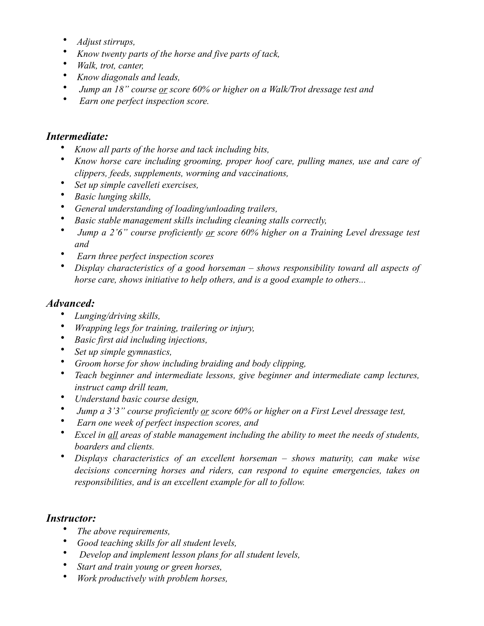- *Adjust stirrups,*
- *Know twenty parts of the horse and five parts of tack,*
- *Walk, trot, canter,*
- *Know diagonals and leads,*
- • *Jump an 18" course or score 60% or higher on a Walk/Trot dressage test and*
- • *Earn one perfect inspection score.*

### *Intermediate:*

- *Know all parts of the horse and tack including bits,*
- *Know horse care including grooming, proper hoof care, pulling manes, use and care of clippers, feeds, supplements, worming and vaccinations,*
- *Set up simple cavelleti exercises,*
- *Basic lunging skills,*
- *General understanding of loading/unloading trailers,*
- *Basic stable management skills including cleaning stalls correctly,*
- • *Jump a 2'6" course proficiently or score 60% higher on a Training Level dressage test and*
- • *Earn three perfect inspection scores*
- *Display characteristics of a good horseman shows responsibility toward all aspects of horse care, shows initiative to help others, and is a good example to others...*

## *Advanced:*

- *Lunging/driving skills,*
- *Wrapping legs for training, trailering or injury,*
- *Basic first aid including injections,*
- *Set up simple gymnastics,*
- *Groom horse for show including braiding and body clipping,*
- *Teach beginner and intermediate lessons, give beginner and intermediate camp lectures, instruct camp drill team,*
- *Understand basic course design,*
- • *Jump a 3'3" course proficiently or score 60% or higher on a First Level dressage test,*
- • *Earn one week of perfect inspection scores, and*
- *Excel in all areas of stable management including the ability to meet the needs of students, boarders and clients.*
- *Displays characteristics of an excellent horseman shows maturity, can make wise decisions concerning horses and riders, can respond to equine emergencies, takes on responsibilities, and is an excellent example for all to follow.*

# *Instructor:*

- *The above requirements,*
- *Good teaching skills for all student levels,*
- • *Develop and implement lesson plans for all student levels,*
- *Start and train young or green horses,*
- *Work productively with problem horses,*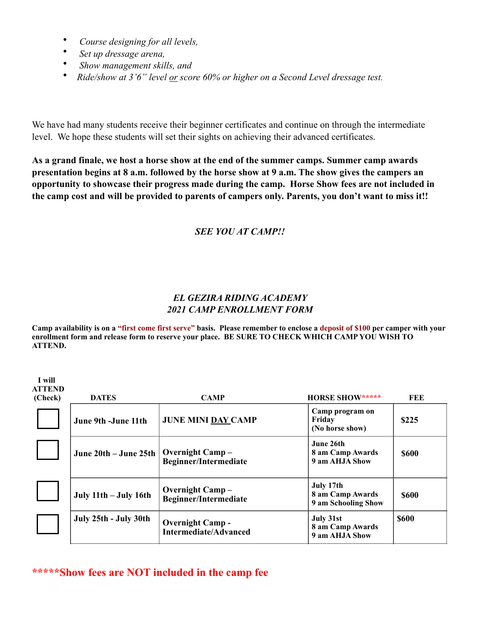- • *Course designing for all levels,*
- • *Set up dressage arena,*

 **I will** 

- • *Show management skills, and*
- *Ride/show at 3'6" level or score 60% or higher on a Second Level dressage test.*

We have had many students receive their beginner certificates and continue on through the intermediate level. We hope these students will set their sights on achieving their advanced certificates.

**As a grand finale, we host a horse show at the end of the summer camps. Summer camp awards presentation begins at 8 a.m. followed by the horse show at 9 a.m. The show gives the campers an opportunity to showcase their progress made during the camp. Horse Show fees are not included in the camp cost and will be provided to parents of campers only. Parents, you don't want to miss it!!** 

### *SEE YOU AT CAMP!!*

### *EL GEZIRA RIDING ACADEMY 2021 CAMP ENROLLMENT FORM*

**Camp availability is on a "first come first serve" basis. Please remember to enclose a deposit of \$100 per camper with your enrollment form and release form to reserve your place. BE SURE TO CHECK WHICH CAMP YOU WISH TO ATTEND.** 

| <b>ATTEND</b><br>(Check) | <b>DATES</b>              | <b>CAMP</b>                                             | <b>HORSE SHOW*****</b>                               | FEE          |
|--------------------------|---------------------------|---------------------------------------------------------|------------------------------------------------------|--------------|
|                          | June 9th -June 11th       | <b>JUNE MINI DAY CAMP</b>                               | Camp program on<br>Friday<br>(No horse show)         | \$225        |
|                          | June 20th – June 25th     | <b>Overnight Camp-</b><br><b>Beginner/Intermediate</b>  | June 26th<br>8 am Camp Awards<br>9 am AHJA Show      | <b>\$600</b> |
|                          | July $11th$ – July $16th$ | <b>Overnight Camp</b> –<br><b>Beginner/Intermediate</b> | July 17th<br>8 am Camp Awards<br>9 am Schooling Show | <b>\$600</b> |
|                          | July 25th - July 30th     | <b>Overnight Camp -</b><br><b>Intermediate/Advanced</b> | July 31st<br>8 am Camp Awards<br>9 am AHJA Show      | <b>\$600</b> |

### **\*\*\*\*\*Show fees are NOT included in the camp fee**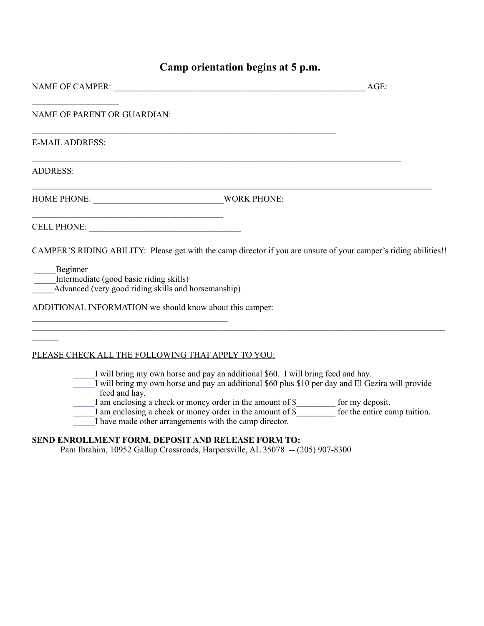# **Camp orientation begins at 5 p.m.**

| NAME OF CAMPER:                                                                                                                                                                                                                                                                                                                                                                                                                                               | AGE: |
|---------------------------------------------------------------------------------------------------------------------------------------------------------------------------------------------------------------------------------------------------------------------------------------------------------------------------------------------------------------------------------------------------------------------------------------------------------------|------|
| <b>NAME OF PARENT OR GUARDIAN:</b>                                                                                                                                                                                                                                                                                                                                                                                                                            |      |
| <b>E-MAIL ADDRESS:</b>                                                                                                                                                                                                                                                                                                                                                                                                                                        |      |
| <b>ADDRESS:</b>                                                                                                                                                                                                                                                                                                                                                                                                                                               |      |
|                                                                                                                                                                                                                                                                                                                                                                                                                                                               |      |
| CELL PHONE:                                                                                                                                                                                                                                                                                                                                                                                                                                                   |      |
| CAMPER'S RIDING ABILITY: Please get with the camp director if you are unsure of your camper's riding abilities!!<br>Beginner<br>Intermediate (good basic riding skills)<br>Advanced (very good riding skills and horsemanship)<br>ADDITIONAL INFORMATION we should know about this camper:                                                                                                                                                                    |      |
|                                                                                                                                                                                                                                                                                                                                                                                                                                                               |      |
| PLEASE CHECK ALL THE FOLLOWING THAT APPLY TO YOU:                                                                                                                                                                                                                                                                                                                                                                                                             |      |
| I will bring my own horse and pay an additional \$60. I will bring feed and hay.<br>I will bring my own horse and pay an additional \$60 plus \$10 per day and El Gezira will provide<br>feed and hay.<br>I am enclosing a check or money order in the amount of $\frac{1}{2}$ for my deposit.<br>I am enclosing a check or money order in the amount of $\frac{1}{2}$ for the entire camp tuition.<br>I have made other arrangements with the camp director. |      |

#### **SEND ENROLLMENT FORM, DEPOSIT AND RELEASE FORM TO:**

Pam Ibrahim, 10952 Gallup Crossroads, Harpersville, AL 35078 -- (205) 907-8300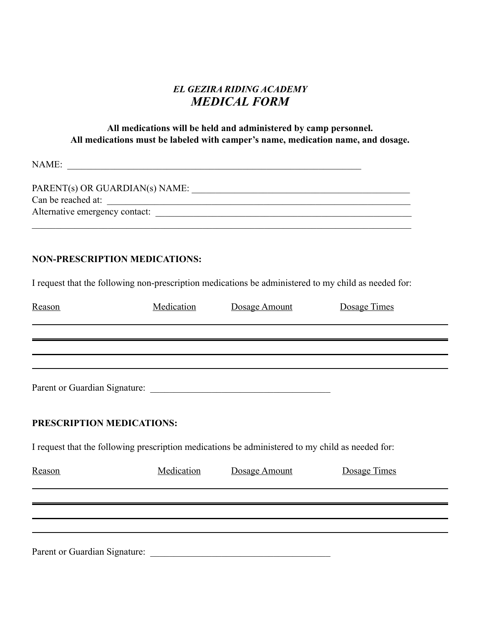### *EL GEZIRA RIDING ACADEMY MEDICAL FORM*

#### **All medications will be held and administered by camp personnel. All medications must be labeled with camper's name, medication name, and dosage.**

NAME: \_\_\_\_\_\_\_\_\_\_\_\_\_\_\_\_\_\_\_\_\_\_\_\_\_\_\_\_\_\_\_\_\_\_\_\_\_\_\_\_\_\_\_\_\_\_\_\_\_\_\_\_\_\_\_\_\_\_\_\_\_\_

| PARENT(s) OR GUARDIAN(s) NAME: |  |
|--------------------------------|--|
| Can be reached at:             |  |
| Alternative emergency contact: |  |
|                                |  |

### **NON-PRESCRIPTION MEDICATIONS:**

I request that the following non-prescription medications be administered to my child as needed for:

| Reason                        | Medication | Dosage Amount                                                                                    | Dosage Times |  |
|-------------------------------|------------|--------------------------------------------------------------------------------------------------|--------------|--|
|                               |            |                                                                                                  |              |  |
|                               |            |                                                                                                  |              |  |
|                               |            |                                                                                                  |              |  |
| PRESCRIPTION MEDICATIONS:     |            |                                                                                                  |              |  |
|                               |            | I request that the following prescription medications be administered to my child as needed for: |              |  |
| Reason                        | Medication | Dosage Amount                                                                                    | Dosage Times |  |
|                               |            |                                                                                                  |              |  |
|                               |            |                                                                                                  |              |  |
|                               |            |                                                                                                  |              |  |
| Parent or Guardian Signature: |            |                                                                                                  |              |  |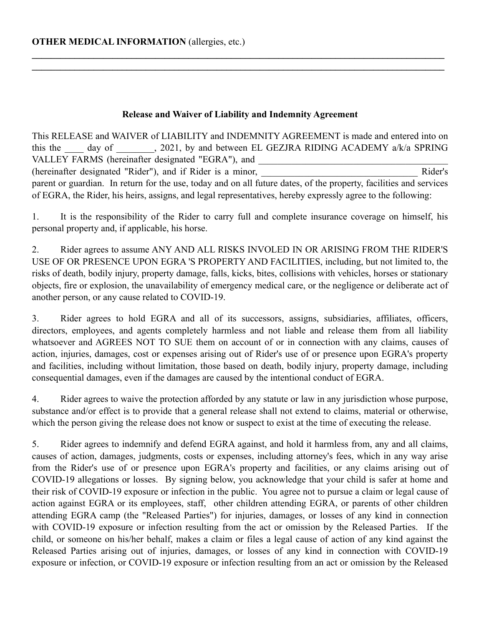#### **Release and Waiver of Liability and Indemnity Agreement**

**\_\_\_\_\_\_\_\_\_\_\_\_\_\_\_\_\_\_\_\_\_\_\_\_\_\_\_\_\_\_\_\_\_\_\_\_\_\_\_\_\_\_\_\_\_\_\_\_\_\_\_\_\_\_\_\_\_\_\_\_\_\_\_\_\_\_\_\_\_\_\_\_\_\_\_\_\_\_\_\_\_\_\_\_\_\_\_**  $\mathcal{L}_\mathcal{L} = \{ \mathcal{L}_\mathcal{L} = \{ \mathcal{L}_\mathcal{L} = \{ \mathcal{L}_\mathcal{L} = \{ \mathcal{L}_\mathcal{L} = \{ \mathcal{L}_\mathcal{L} = \{ \mathcal{L}_\mathcal{L} = \{ \mathcal{L}_\mathcal{L} = \{ \mathcal{L}_\mathcal{L} = \{ \mathcal{L}_\mathcal{L} = \{ \mathcal{L}_\mathcal{L} = \{ \mathcal{L}_\mathcal{L} = \{ \mathcal{L}_\mathcal{L} = \{ \mathcal{L}_\mathcal{L} = \{ \mathcal{L}_\mathcal{$ 

This RELEASE and WAIVER of LIABILITY and INDEMNITY AGREEMENT is made and entered into on this the  $\frac{day}{dx}$  of  $\frac{2021}{x}$ , by and between EL GEZJRA RIDING ACADEMY a/k/a SPRING VALLEY FARMS (hereinafter designated "EGRA"), and \_\_\_\_\_\_\_\_\_\_\_\_\_\_\_\_\_\_\_\_\_\_\_\_\_\_\_\_\_\_ (hereinafter designated "Rider"), and if Rider is a minor, \_\_\_\_\_\_\_\_\_\_\_\_\_\_\_\_\_\_\_\_\_\_\_\_\_\_\_\_\_\_\_\_\_ Rider's parent or guardian. In return for the use, today and on all future dates, of the property, facilities and services of EGRA, the Rider, his heirs, assigns, and legal representatives, hereby expressly agree to the following:

1. It is the responsibility of the Rider to carry full and complete insurance coverage on himself, his personal property and, if applicable, his horse.

2. Rider agrees to assume ANY AND ALL RISKS INVOLED IN OR ARISING FROM THE RIDER'S USE OF OR PRESENCE UPON EGRA 'S PROPERTY AND FACILITIES, including, but not limited to, the risks of death, bodily injury, property damage, falls, kicks, bites, collisions with vehicles, horses or stationary objects, fire or explosion, the unavailability of emergency medical care, or the negligence or deliberate act of another person, or any cause related to COVID-19.

3. Rider agrees to hold EGRA and all of its successors, assigns, subsidiaries, affiliates, officers, directors, employees, and agents completely harmless and not liable and release them from all liability whatsoever and AGREES NOT TO SUE them on account of or in connection with any claims, causes of action, injuries, damages, cost or expenses arising out of Rider's use of or presence upon EGRA's property and facilities, including without limitation, those based on death, bodily injury, property damage, including consequential damages, even if the damages are caused by the intentional conduct of EGRA.

4. Rider agrees to waive the protection afforded by any statute or law in any jurisdiction whose purpose, substance and/or effect is to provide that a general release shall not extend to claims, material or otherwise, which the person giving the release does not know or suspect to exist at the time of executing the release.

5. Rider agrees to indemnify and defend EGRA against, and hold it harmless from, any and all claims, causes of action, damages, judgments, costs or expenses, including attorney's fees, which in any way arise from the Rider's use of or presence upon EGRA's property and facilities, or any claims arising out of COVID-19 allegations or losses. By signing below, you acknowledge that your child is safer at home and their risk of COVID-19 exposure or infection in the public. You agree not to pursue a claim or legal cause of action against EGRA or its employees, staff, other children attending EGRA, or parents of other children attending EGRA camp (the "Released Parties") for injuries, damages, or losses of any kind in connection with COVID-19 exposure or infection resulting from the act or omission by the Released Parties. If the child, or someone on his/her behalf, makes a claim or files a legal cause of action of any kind against the Released Parties arising out of injuries, damages, or losses of any kind in connection with COVID-19 exposure or infection, or COVID-19 exposure or infection resulting from an act or omission by the Released